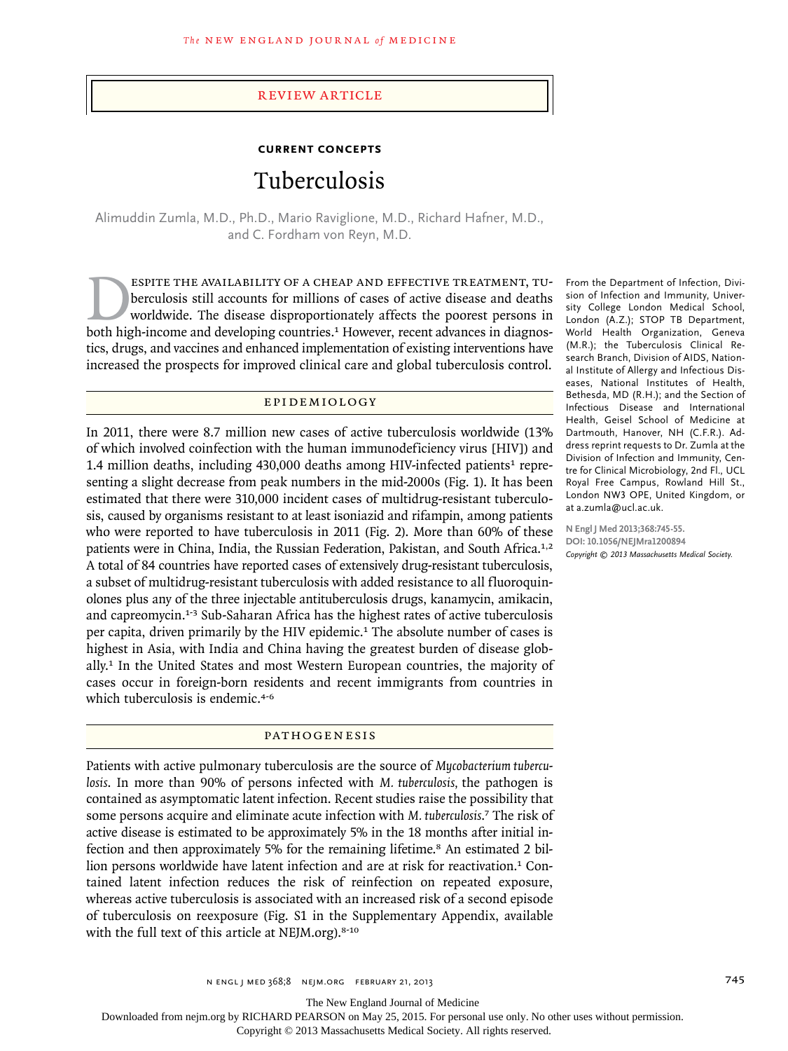#### review article

# **current concepts** Tuberculosis

Alimuddin Zumla, M.D., Ph.D., Mario Raviglione, M.D., Richard Hafner, M.D., and C. Fordham von Reyn, M.D.

ESPITE THE AVAILABILITY OF A CHEAP AND EFFECTIVE TREATMENT, TU-<br>berculosis still accounts for millions of cases of active disease and deaths<br>worldwide. The disease disproportionately affects the poorest persons in<br>both hig berculosis still accounts for millions of cases of active disease and deaths worldwide. The disease disproportionately affects the poorest persons in both high-income and developing countries.1 However, recent advances in diagnostics, drugs, and vaccines and enhanced implementation of existing interventions have increased the prospects for improved clinical care and global tuberculosis control.

#### Epidemiol o gy

In 2011, there were 8.7 million new cases of active tuberculosis worldwide (13% of which involved coinfection with the human immunodeficiency virus [HIV]) and 1.4 million deaths, including  $430,000$  deaths among HIV-infected patients<sup>1</sup> representing a slight decrease from peak numbers in the mid-2000s (Fig. 1). It has been estimated that there were 310,000 incident cases of multidrug-resistant tuberculosis, caused by organisms resistant to at least isoniazid and rifampin, among patients who were reported to have tuberculosis in 2011 (Fig. 2). More than 60% of these patients were in China, India, the Russian Federation, Pakistan, and South Africa.1,2 A total of 84 countries have reported cases of extensively drug-resistant tuberculosis, a subset of multidrug-resistant tuberculosis with added resistance to all fluoroquinolones plus any of the three injectable antituberculosis drugs, kanamycin, amikacin, and capreomycin.1-3 Sub-Saharan Africa has the highest rates of active tuberculosis per capita, driven primarily by the HIV epidemic.<sup>1</sup> The absolute number of cases is highest in Asia, with India and China having the greatest burden of disease globally.1 In the United States and most Western European countries, the majority of cases occur in foreign-born residents and recent immigrants from countries in which tuberculosis is endemic.<sup>4-6</sup>

#### **PATHOGENESIS**

Patients with active pulmonary tuberculosis are the source of *Mycobacterium tuberculosis*. In more than 90% of persons infected with *M. tuberculosis,* the pathogen is contained as asymptomatic latent infection. Recent studies raise the possibility that some persons acquire and eliminate acute infection with *M. tuberculosis*. <sup>7</sup> The risk of active disease is estimated to be approximately 5% in the 18 months after initial infection and then approximately 5% for the remaining lifetime.<sup>8</sup> An estimated 2 billion persons worldwide have latent infection and are at risk for reactivation.<sup>1</sup> Contained latent infection reduces the risk of reinfection on repeated exposure, whereas active tuberculosis is associated with an increased risk of a second episode of tuberculosis on reexposure (Fig. S1 in the Supplementary Appendix, available with the full text of this article at NEJM.org).<sup>8-10</sup>

From the Department of Infection, Division of Infection and Immunity, University College London Medical School, London (A.Z.); STOP TB Department, World Health Organization, Geneva (M.R.); the Tuberculosis Clinical Research Branch, Division of AIDS, National Institute of Allergy and Infectious Diseases, National Institutes of Health, Bethesda, MD (R.H.); and the Section of Infectious Disease and International Health, Geisel School of Medicine at Dartmouth, Hanover, NH (C.F.R.). Address reprint requests to Dr. Zumla at the Division of Infection and Immunity, Centre for Clinical Microbiology, 2nd Fl., UCL Royal Free Campus, Rowland Hill St., London NW3 OPE, United Kingdom, or at a.zumla@ucl.ac.uk.

**N Engl J Med 2013;368:745-55. DOI: 10.1056/NEJMra1200894** *Copyright © 2013 Massachusetts Medical Society.*

The New England Journal of Medicine

Downloaded from nejm.org by RICHARD PEARSON on May 25, 2015. For personal use only. No other uses without permission.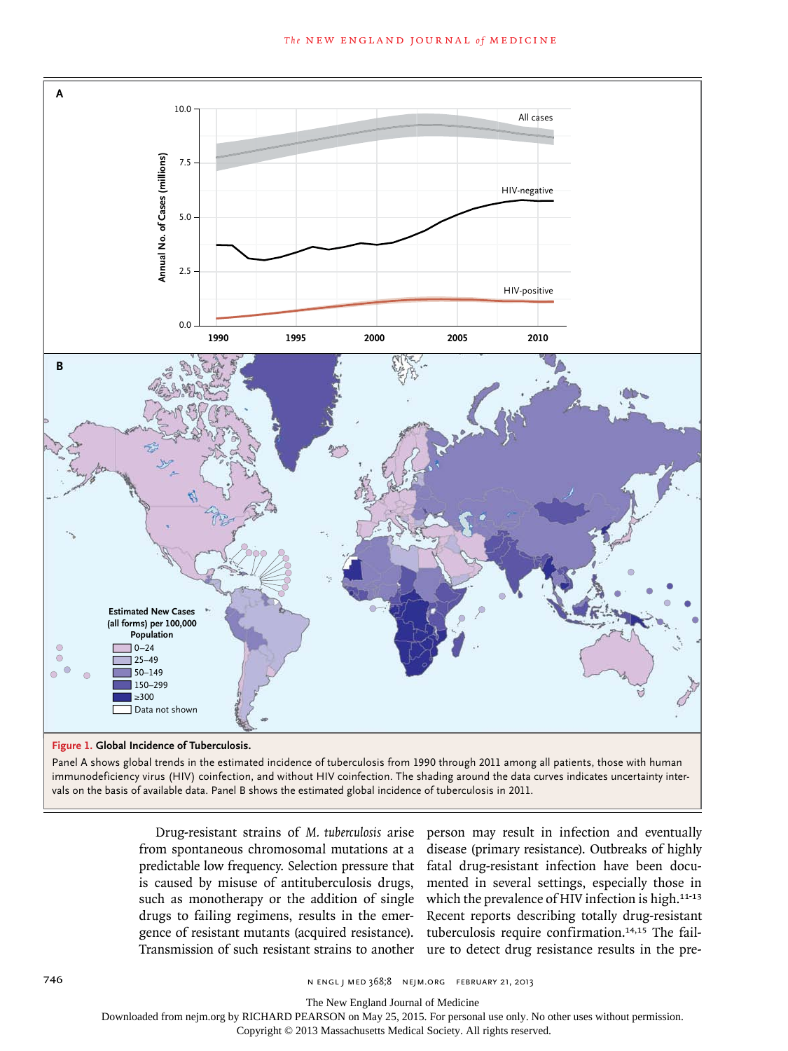

vals on the basis of available data. Panel B shows the estimated global incidence of tuberculosis in 2011.

Drug-resistant strains of *M. tuberculosis* arise from spontaneous chromosomal mutations at a predictable low frequency. Selection pressure that is caused by misuse of antituberculosis drugs, such as monotherapy or the addition of single drugs to failing regimens, results in the emergence of resistant mutants (acquired resistance). Transmission of such resistant strains to another

person may result in infection and eventually disease (primary resistance). Outbreaks of highly fatal drug-resistant infection have been documented in several settings, especially those in which the prevalence of HIV infection is high.<sup>11-13</sup> Recent reports describing totally drug-resistant tuberculosis require confirmation.14,15 The failure to detect drug resistance results in the pre-

746 n engl j med 368;8 nejm.org february 21, 2013

The New England Journal of Medicine

Downloaded from nejm.org by RICHARD PEARSON on May 25, 2015. For personal use only. No other uses without permission.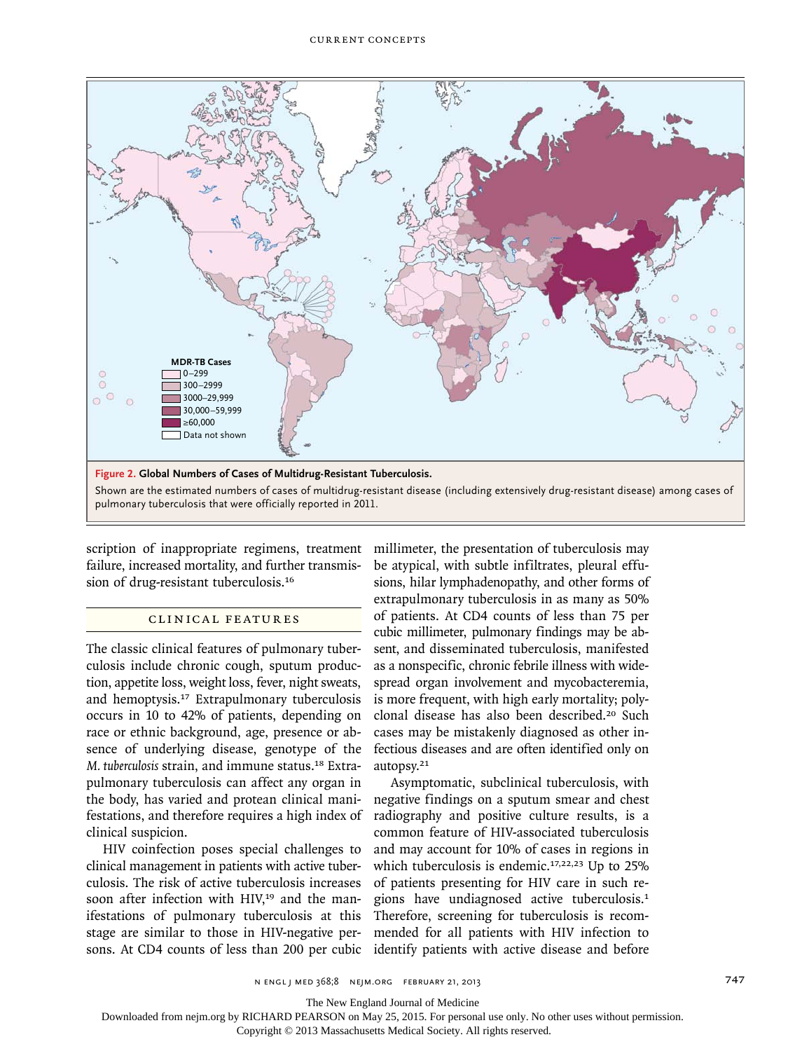

scription of inappropriate regimens, treatment millimeter, the presentation of tuberculosis may failure, increased mortality, and further transmission of drug-resistant tuberculosis.<sup>16</sup>

# Clinic a l Fe at ur es

The classic clinical features of pulmonary tuberculosis include chronic cough, sputum production, appetite loss, weight loss, fever, night sweats, and hemoptysis.17 Extrapulmonary tuberculosis occurs in 10 to 42% of patients, depending on race or ethnic background, age, presence or absence of underlying disease, genotype of the *M. tuberculosis* strain, and immune status.18 Extrapulmonary tuberculosis can affect any organ in the body, has varied and protean clinical manifestations, and therefore requires a high index of clinical suspicion.

HIV coinfection poses special challenges to clinical management in patients with active tuberculosis. The risk of active tuberculosis increases soon after infection with HIV,<sup>19</sup> and the manifestations of pulmonary tuberculosis at this stage are similar to those in HIV-negative persons. At CD4 counts of less than 200 per cubic be atypical, with subtle infiltrates, pleural effusions, hilar lymphadenopathy, and other forms of extrapulmonary tuberculosis in as many as 50% of patients. At CD4 counts of less than 75 per cubic millimeter, pulmonary findings may be absent, and disseminated tuberculosis, manifested as a nonspecific, chronic febrile illness with widespread organ involvement and mycobacteremia, is more frequent, with high early mortality; polyclonal disease has also been described.20 Such cases may be mistakenly diagnosed as other infectious diseases and are often identified only on autopsy.<sup>21</sup>

Asymptomatic, subclinical tuberculosis, with negative findings on a sputum smear and chest radiography and positive culture results, is a common feature of HIV-associated tuberculosis and may account for 10% of cases in regions in which tuberculosis is endemic.<sup>17,22,23</sup> Up to 25% of patients presenting for HIV care in such regions have undiagnosed active tuberculosis.<sup>1</sup> Therefore, screening for tuberculosis is recommended for all patients with HIV infection to identify patients with active disease and before

n engl j med 368;8 nejm.org february 21, 2013 747

The New England Journal of Medicine

Downloaded from nejm.org by RICHARD PEARSON on May 25, 2015. For personal use only. No other uses without permission.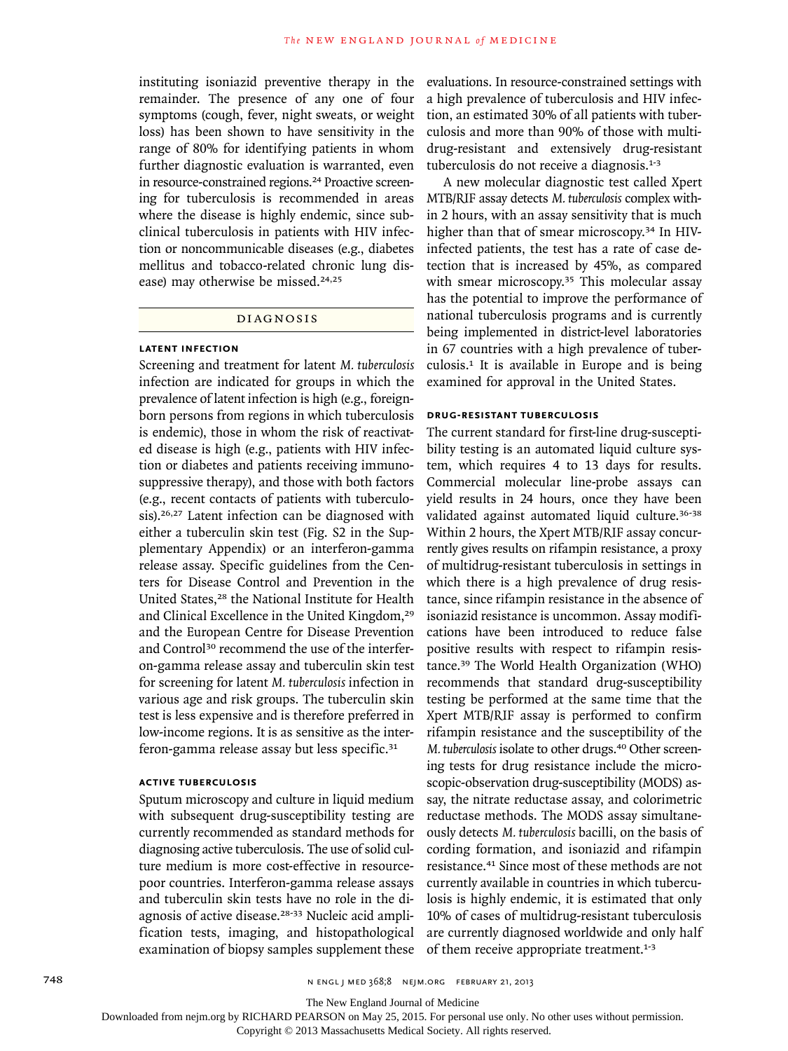instituting isoniazid preventive therapy in the remainder. The presence of any one of four symptoms (cough, fever, night sweats, or weight loss) has been shown to have sensitivity in the range of 80% for identifying patients in whom further diagnostic evaluation is warranted, even in resource-constrained regions.<sup>24</sup> Proactive screening for tuberculosis is recommended in areas where the disease is highly endemic, since subclinical tuberculosis in patients with HIV infection or noncommunicable diseases (e.g., diabetes mellitus and tobacco-related chronic lung disease) may otherwise be missed.<sup>24,25</sup>

#### Di agnosis

#### **Latent Infection**

Screening and treatment for latent *M. tuberculosis* infection are indicated for groups in which the prevalence of latent infection is high (e.g., foreignborn persons from regions in which tuberculosis is endemic), those in whom the risk of reactivated disease is high (e.g., patients with HIV infection or diabetes and patients receiving immunosuppressive therapy), and those with both factors (e.g., recent contacts of patients with tuberculosis).<sup>26,27</sup> Latent infection can be diagnosed with either a tuberculin skin test (Fig. S2 in the Supplementary Appendix) or an interferon-gamma release assay. Specific guidelines from the Centers for Disease Control and Prevention in the United States,28 the National Institute for Health and Clinical Excellence in the United Kingdom,<sup>29</sup> and the European Centre for Disease Prevention and Control<sup>30</sup> recommend the use of the interferon-gamma release assay and tuberculin skin test for screening for latent *M. tuberculosis* infection in various age and risk groups. The tuberculin skin test is less expensive and is therefore preferred in low-income regions. It is as sensitive as the interferon-gamma release assay but less specific.<sup>31</sup>

### **Active Tuberculosis**

Sputum microscopy and culture in liquid medium with subsequent drug-susceptibility testing are currently recommended as standard methods for diagnosing active tuberculosis. The use of solid culture medium is more cost-effective in resourcepoor countries. Interferon-gamma release assays and tuberculin skin tests have no role in the diagnosis of active disease.28-33 Nucleic acid amplification tests, imaging, and histopathological examination of biopsy samples supplement these

evaluations. In resource-constrained settings with a high prevalence of tuberculosis and HIV infection, an estimated 30% of all patients with tuberculosis and more than 90% of those with multidrug-resistant and extensively drug-resistant tuberculosis do not receive a diagnosis.<sup>1-3</sup>

A new molecular diagnostic test called Xpert MTB/RIF assay detects *M. tuberculosis* complex within 2 hours, with an assay sensitivity that is much higher than that of smear microscopy.34 In HIVinfected patients, the test has a rate of case detection that is increased by 45%, as compared with smear microscopy.<sup>35</sup> This molecular assay has the potential to improve the performance of national tuberculosis programs and is currently being implemented in district-level laboratories in 67 countries with a high prevalence of tuberculosis.1 It is available in Europe and is being examined for approval in the United States.

## **Drug-Resistant Tuberculosis**

The current standard for first-line drug-susceptibility testing is an automated liquid culture system, which requires 4 to 13 days for results. Commercial molecular line-probe assays can yield results in 24 hours, once they have been validated against automated liquid culture.<sup>36-38</sup> Within 2 hours, the Xpert MTB/RIF assay concurrently gives results on rifampin resistance, a proxy of multidrug-resistant tuberculosis in settings in which there is a high prevalence of drug resistance, since rifampin resistance in the absence of isoniazid resistance is uncommon. Assay modifications have been introduced to reduce false positive results with respect to rifampin resistance.39 The World Health Organization (WHO) recommends that standard drug-susceptibility testing be performed at the same time that the Xpert MTB/RIF assay is performed to confirm rifampin resistance and the susceptibility of the *M. tuberculosis* isolate to other drugs.<sup>40</sup> Other screening tests for drug resistance include the microscopic-observation drug-susceptibility (MODS) assay, the nitrate reductase assay, and colorimetric reductase methods. The MODS assay simultaneously detects *M. tuberculosis* bacilli, on the basis of cording formation, and isoniazid and rifampin resistance.41 Since most of these methods are not currently available in countries in which tuberculosis is highly endemic, it is estimated that only 10% of cases of multidrug-resistant tuberculosis are currently diagnosed worldwide and only half of them receive appropriate treatment.<sup>1-3</sup>

The New England Journal of Medicine

Downloaded from nejm.org by RICHARD PEARSON on May 25, 2015. For personal use only. No other uses without permission.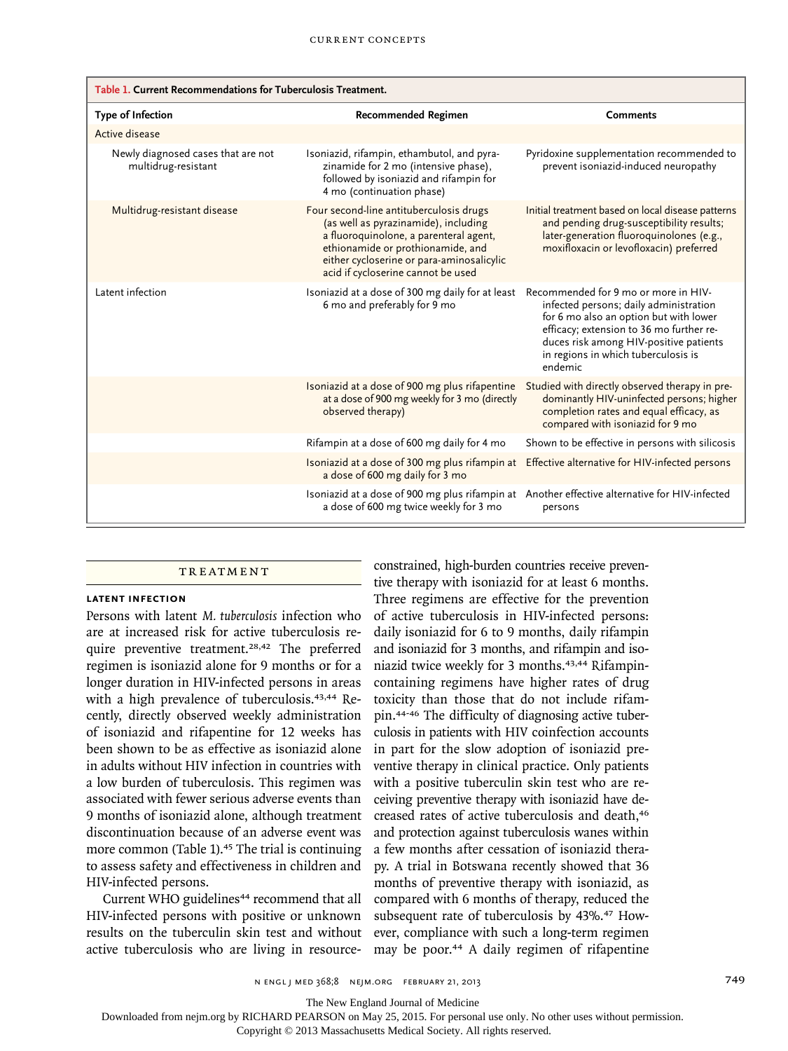| Table 1. Current Recommendations for Tuberculosis Treatment. |                                                                                                                                                                                                                                                   |                                                                                                                                                                                                                                                                  |
|--------------------------------------------------------------|---------------------------------------------------------------------------------------------------------------------------------------------------------------------------------------------------------------------------------------------------|------------------------------------------------------------------------------------------------------------------------------------------------------------------------------------------------------------------------------------------------------------------|
| Type of Infection                                            | <b>Recommended Regimen</b>                                                                                                                                                                                                                        | <b>Comments</b>                                                                                                                                                                                                                                                  |
| Active disease                                               |                                                                                                                                                                                                                                                   |                                                                                                                                                                                                                                                                  |
| Newly diagnosed cases that are not<br>multidrug-resistant    | Isoniazid, rifampin, ethambutol, and pyra-<br>zinamide for 2 mo (intensive phase),<br>followed by isoniazid and rifampin for<br>4 mo (continuation phase)                                                                                         | Pyridoxine supplementation recommended to<br>prevent isoniazid-induced neuropathy                                                                                                                                                                                |
| Multidrug-resistant disease                                  | Four second-line antituberculosis drugs<br>(as well as pyrazinamide), including<br>a fluoroquinolone, a parenteral agent,<br>ethionamide or prothionamide, and<br>either cycloserine or para-aminosalicylic<br>acid if cycloserine cannot be used | Initial treatment based on local disease patterns<br>and pending drug-susceptibility results;<br>later-generation fluoroquinolones (e.g.,<br>moxifloxacin or levofloxacin) preferred                                                                             |
| Latent infection                                             | Isoniazid at a dose of 300 mg daily for at least<br>6 mo and preferably for 9 mo                                                                                                                                                                  | Recommended for 9 mo or more in HIV-<br>infected persons; daily administration<br>for 6 mo also an option but with lower<br>efficacy; extension to 36 mo further re-<br>duces risk among HIV-positive patients<br>in regions in which tuberculosis is<br>endemic |
|                                                              | Isoniazid at a dose of 900 mg plus rifapentine<br>at a dose of 900 mg weekly for 3 mo (directly<br>observed therapy)                                                                                                                              | Studied with directly observed therapy in pre-<br>dominantly HIV-uninfected persons; higher<br>completion rates and equal efficacy, as<br>compared with isoniazid for 9 mo                                                                                       |
|                                                              | Rifampin at a dose of 600 mg daily for 4 mo                                                                                                                                                                                                       | Shown to be effective in persons with silicosis                                                                                                                                                                                                                  |
|                                                              | Isoniazid at a dose of 300 mg plus rifampin at<br>a dose of 600 mg daily for 3 mo                                                                                                                                                                 | Effective alternative for HIV-infected persons                                                                                                                                                                                                                   |
|                                                              | Isoniazid at a dose of 900 mg plus rifampin at<br>a dose of 600 mg twice weekly for 3 mo                                                                                                                                                          | Another effective alternative for HIV-infected<br>persons                                                                                                                                                                                                        |

#### **TREATMENT**

#### **Latent Infection**

Persons with latent *M. tuberculosis* infection who are at increased risk for active tuberculosis require preventive treatment.<sup>28,42</sup> The preferred regimen is isoniazid alone for 9 months or for a longer duration in HIV-infected persons in areas with a high prevalence of tuberculosis.43,44 Recently, directly observed weekly administration of isoniazid and rifapentine for 12 weeks has been shown to be as effective as isoniazid alone in adults without HIV infection in countries with a low burden of tuberculosis. This regimen was associated with fewer serious adverse events than 9 months of isoniazid alone, although treatment discontinuation because of an adverse event was more common (Table 1).<sup>45</sup> The trial is continuing to assess safety and effectiveness in children and HIV-infected persons.

Current WHO guidelines<sup>44</sup> recommend that all HIV-infected persons with positive or unknown results on the tuberculin skin test and without active tuberculosis who are living in resource-

constrained, high-burden countries receive preventive therapy with isoniazid for at least 6 months. Three regimens are effective for the prevention of active tuberculosis in HIV-infected persons: daily isoniazid for 6 to 9 months, daily rifampin and isoniazid for 3 months, and rifampin and isoniazid twice weekly for 3 months.<sup>43,44</sup> Rifampincontaining regimens have higher rates of drug toxicity than those that do not include rifampin.44-46 The difficulty of diagnosing active tuberculosis in patients with HIV coinfection accounts in part for the slow adoption of isoniazid preventive therapy in clinical practice. Only patients with a positive tuberculin skin test who are receiving preventive therapy with isoniazid have decreased rates of active tuberculosis and death,<sup>46</sup> and protection against tuberculosis wanes within a few months after cessation of isoniazid therapy. A trial in Botswana recently showed that 36 months of preventive therapy with isoniazid, as compared with 6 months of therapy, reduced the subsequent rate of tuberculosis by 43%.<sup>47</sup> However, compliance with such a long-term regimen may be poor.<sup>44</sup> A daily regimen of rifapentine

The New England Journal of Medicine

Downloaded from nejm.org by RICHARD PEARSON on May 25, 2015. For personal use only. No other uses without permission.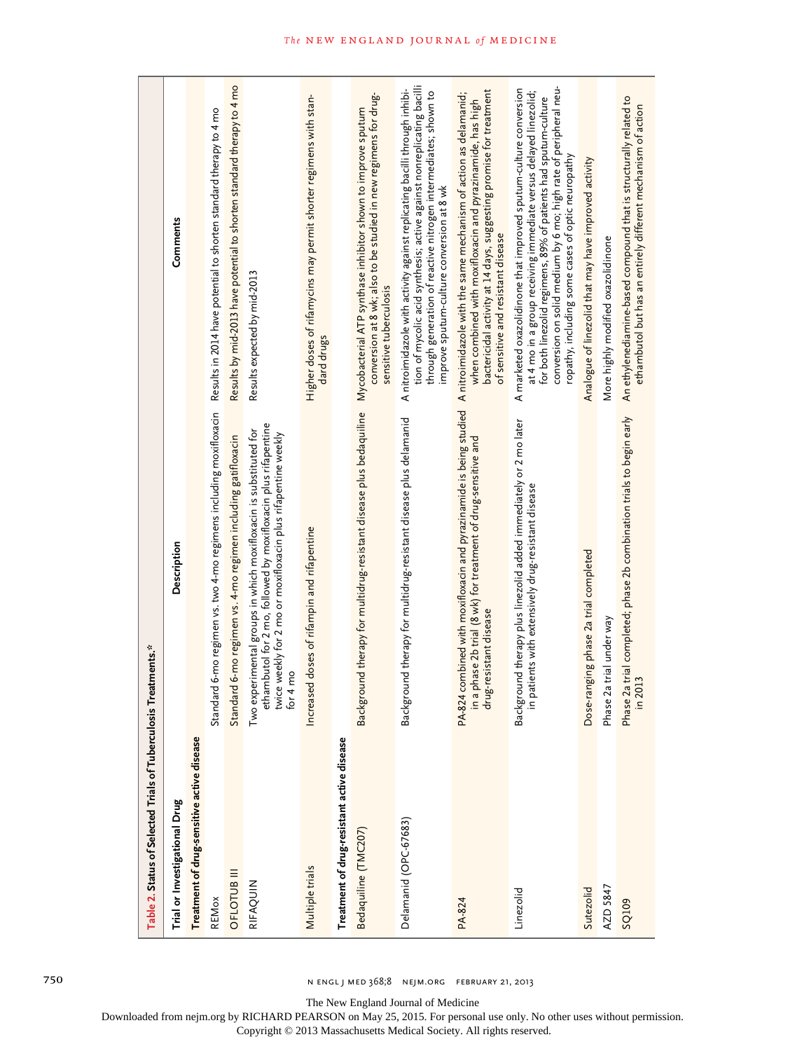| Table 2. Status of Selected Trials of Tuberculosis | Treatments.*                                                                                                                                                                                                    |                                                                                                                                                                                                                                                                                                                                  |
|----------------------------------------------------|-----------------------------------------------------------------------------------------------------------------------------------------------------------------------------------------------------------------|----------------------------------------------------------------------------------------------------------------------------------------------------------------------------------------------------------------------------------------------------------------------------------------------------------------------------------|
| Trial or Investigational Drug                      | Description                                                                                                                                                                                                     | Comments                                                                                                                                                                                                                                                                                                                         |
| Treatment of drug-sensitive active disease         |                                                                                                                                                                                                                 |                                                                                                                                                                                                                                                                                                                                  |
| REMox                                              | Standard 6-mo regimen vs. two 4-mo regimens including moxifloxacin                                                                                                                                              | Results in 2014 have potential to shorten standard therapy to 4 mo                                                                                                                                                                                                                                                               |
| OFLOTUB III                                        | Standard 6-mo regimen vs. 4-mo regimen including gatifloxacin                                                                                                                                                   | Results by mid-2013 have potential to shorten standard therapy to 4 mo                                                                                                                                                                                                                                                           |
| RIFAQUIN                                           | ethambutol for 2 mo, followed by moxifloxacin plus rifapentine<br>twice weekly for 2 mo or moxifloxacin plus rifapentine weekly<br>for 4 mo<br>Two experimental groups in which moxifloxacin is substituted for | Results expected by mid-2013                                                                                                                                                                                                                                                                                                     |
| Multiple trials                                    | Increased doses of rifampin and rifapentine                                                                                                                                                                     | Higher doses of rifamycins may permit shorter regimens with stan-<br>dard drugs                                                                                                                                                                                                                                                  |
| Treatment of drug-resistant active disease         |                                                                                                                                                                                                                 |                                                                                                                                                                                                                                                                                                                                  |
| Bedaquiline (TMC207)                               | Background therapy for multidrug-resistant disease plus bedaquiline                                                                                                                                             | conversion at 8 wk; also to be studied in new regimens for drug-<br>Mycobacterial ATP synthase inhibitor shown to improve sputum<br>sensitive tuberculosis                                                                                                                                                                       |
| Delamanid (OPC-67683)                              | Background therapy for multidrug-resistant disease plus delamanid                                                                                                                                               | tion of mycolic acid synthesis; active against nonreplicating bacilli<br>A nitroimidazole with activity against replicating bacilli through inhibi-<br>through generation of reactive nitrogen intermediates; shown to<br>improve sputum-culture conversion at 8 wk                                                              |
| PA-824                                             | PA-824 combined with moxifloxacin and pyrazinamide is being studied<br>in a phase 2b trial (8 wk) for treatment of drug-sensitive and<br>drug-resistant disease                                                 | bactericidal activity at 14 days, suggesting promise for treatment<br>A nitroimidazole with the same mechanism of action as delamanid;<br>when combined with moxifloxacin and pyrazinamide, has high<br>of sensitive and resistant disease                                                                                       |
| Linezolid                                          | Background therapy plus linezolid added immediately or 2 mo later<br>in patients with extensively drug-resistant disease                                                                                        | conversion on solid medium by 6 mo; high rate of peripheral neu-<br>A marketed oxazolidinone that improved sputum-culture conversion<br>at 4 mo in a group receiving immediate versus delayed linezolid;<br>for both linezolid regimens, 89% of patients had sputum-culture<br>ropathy, including some cases of optic neuropathy |
| Sutezolid                                          | Dose-ranging phase 2a trial completed                                                                                                                                                                           | Analogue of linezolid that may have improved activity                                                                                                                                                                                                                                                                            |
| AZD 5847                                           | Phase 2a trial under way                                                                                                                                                                                        | More highly modified oxazolidinone                                                                                                                                                                                                                                                                                               |
| SQ109                                              | Phase 2a trial completed; phase 2b combination trials to begin early<br>in 2013                                                                                                                                 | An ethylenediamine-based compound that is structurally related to<br>ethambutol but has an entirely different mechanism of action                                                                                                                                                                                                |

The New England Journal of Medicine

Downloaded from nejm.org by RICHARD PEARSON on May 25, 2015. For personal use only. No other uses without permission.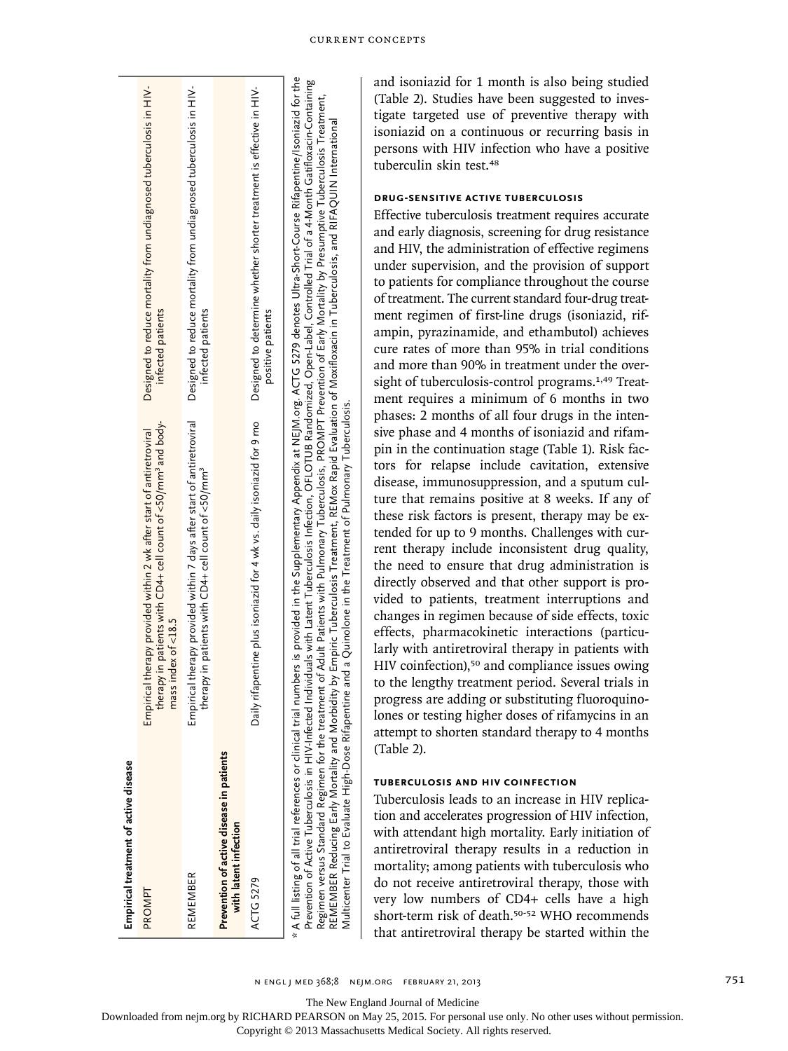| Empirical treatment of active disease                             |                                                                                                                                                                                                                                                                                                                                                                                                                                                                          |                                                                                                                                                                                                                                                                                                                                                                                       |
|-------------------------------------------------------------------|--------------------------------------------------------------------------------------------------------------------------------------------------------------------------------------------------------------------------------------------------------------------------------------------------------------------------------------------------------------------------------------------------------------------------------------------------------------------------|---------------------------------------------------------------------------------------------------------------------------------------------------------------------------------------------------------------------------------------------------------------------------------------------------------------------------------------------------------------------------------------|
| PROMPT                                                            | therapy in patients with CD4+ cell count of <50/mm <sup>3</sup> and body-<br>Empirical therapy provided within 2 wk after start of antiretroviral<br>$mass$ index of $<$ 18.5                                                                                                                                                                                                                                                                                            | Designed to reduce mortality from undiagnosed tuberculosis in HIV-<br>infected patients                                                                                                                                                                                                                                                                                               |
| REMEMBER                                                          | Empirical therapy provided within 7 days after start of antiretroviral<br>therapy in patients with CD4+ cell count of $<$ 50/mm <sup>3</sup>                                                                                                                                                                                                                                                                                                                             | Designed to reduce mortality from undiagnosed tuberculosis in HIV-<br>infected patients                                                                                                                                                                                                                                                                                               |
| Prevention of active disease in patients<br>with latent infection |                                                                                                                                                                                                                                                                                                                                                                                                                                                                          |                                                                                                                                                                                                                                                                                                                                                                                       |
| ACTG 5279                                                         | Daily rifapentine plus isoniazid for 4 wk vs. daily isoniazid for 9 mo                                                                                                                                                                                                                                                                                                                                                                                                   | Designed to determine whether shorter treatment is effective in HIV-<br>positive patients                                                                                                                                                                                                                                                                                             |
|                                                                   | Regimen versus Standard Regimen for the treatment of Adult Patients with Pulmonary Tuberculosis, PROMPT Prevention of Early Mortality by Presumptive Tuberculosis Treatment,<br>REMEMBER Reducing Early Mortality and Morbidity by Empiric Tuberculosis Treatment, REMox Rapid Evaluation of Moxifloxacin in Tuberculosis, and RIFAQUIN International<br>Multicenter Trial to Evaluate High-Dose Rifapentine and a Quinolone in the Treatment of Pulmonary Tuberculosis. | A full listing of all trial references or clinical trial numbers is provided in the Supplementary Appendix at NEJM org. ACTG 5279 denotes Ultra-Short-Course Rifapentine/Isoniazid for the<br>Prevention of Active Tuberculosis in HIV-Infected Individuals with Latent Tuberculosis Infection, OFLOTUB Randomized, Open-Label, Controlled Trial of a 4-Month Gatifloxacin-Containing |

and isoniazid for 1 month is also being studied (Table 2). Studies have been suggested to investigate targeted use of preventive therapy with isoniazid on a continuous or recurring basis in persons with HIV infection who have a positive tuberculin skin test.<sup>48</sup>

# **Drug-Sensitive Active Tuberculosis**

Effective tuberculosis treatment requires accurate and early diagnosis, screening for drug resistance and HIV, the administration of effective regimens under supervision, and the provision of support to patients for compliance throughout the course of treatment. The current standard four-drug treatment regimen of first-line drugs (isoniazid, rifampin, pyrazinamide, and ethambutol) achieves cure rates of more than 95% in trial conditions and more than 90% in treatment under the oversight of tuberculosis-control programs.<sup>1,49</sup> Treatment requires a minimum of 6 months in two phases: 2 months of all four drugs in the intensive phase and 4 months of isoniazid and rifampin in the continuation stage (Table 1). Risk factors for relapse include cavitation, extensive disease, immunosuppression, and a sputum culture that remains positive at 8 weeks. If any of these risk factors is present, therapy may be extended for up to 9 months. Challenges with current therapy include inconsistent drug quality, the need to ensure that drug administration is directly observed and that other support is provided to patients, treatment interruptions and changes in regimen because of side effects, toxic effects, pharmacokinetic interactions (particularly with antiretroviral therapy in patients with HIV coinfection),<sup>50</sup> and compliance issues owing to the lengthy treatment period. Several trials in progress are adding or substituting fluoroquinolones or testing higher doses of rifamycins in an attempt to shorten standard therapy to 4 months (Table 2).

# **Tuberculosis and HIV Coinfection**

Tuberculosis leads to an increase in HIV replication and accelerates progression of HIV infection, with attendant high mortality. Early initiation of antiretroviral therapy results in a reduction in mortality; among patients with tuberculosis who do not receive antiretroviral therapy, those with very low numbers of CD4+ cells have a high short-term risk of death.<sup>50-52</sup> WHO recommends that antiretroviral therapy be started within the

n engl j med 368;8 nejm.org february 21, 2013 751

The New England Journal of Medicine

Downloaded from nejm.org by RICHARD PEARSON on May 25, 2015. For personal use only. No other uses without permission.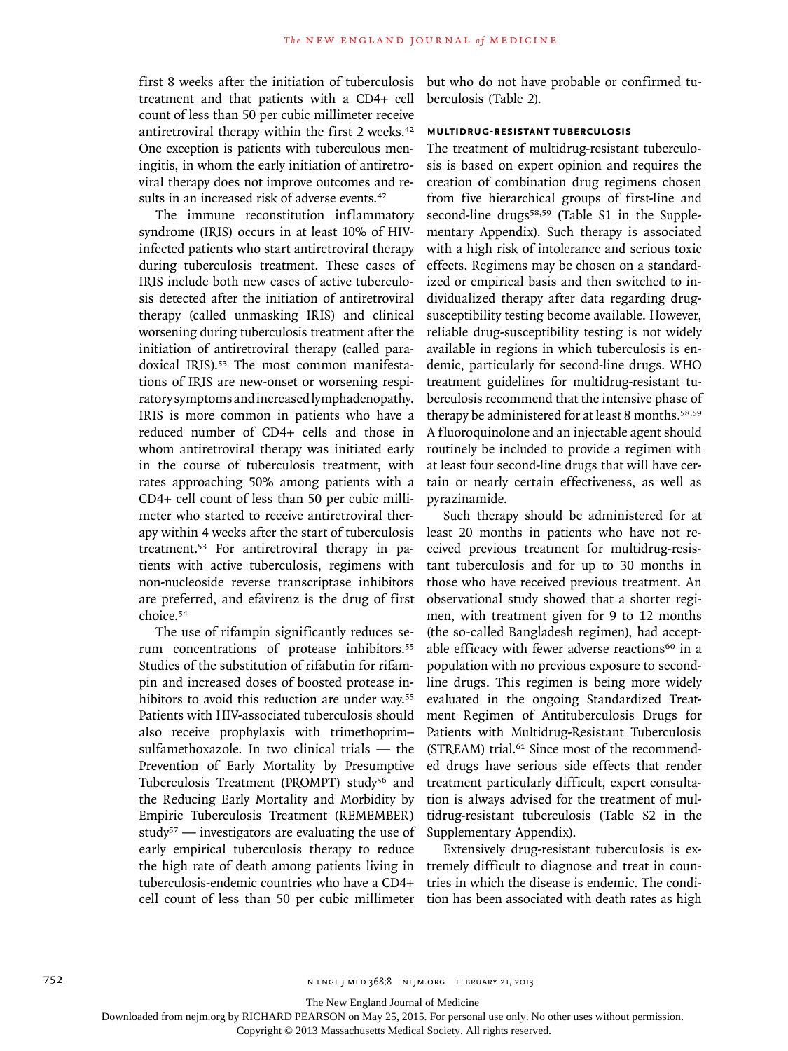first 8 weeks after the initiation of tuberculosis treatment and that patients with a CD4+ cell count of less than 50 per cubic millimeter receive antiretroviral therapy within the first 2 weeks.<sup>42</sup> One exception is patients with tuberculous meningitis, in whom the early initiation of antiretroviral therapy does not improve outcomes and results in an increased risk of adverse events.<sup>42</sup>

The immune reconstitution inflammatory syndrome (IRIS) occurs in at least 10% of HIVinfected patients who start antiretroviral therapy during tuberculosis treatment. These cases of IRIS include both new cases of active tuberculosis detected after the initiation of antiretroviral therapy (called unmasking IRIS) and clinical worsening during tuberculosis treatment after the initiation of antiretroviral therapy (called paradoxical IRIS).<sup>53</sup> The most common manifestations of IRIS are new-onset or worsening respiratory symptoms and increased lymphadenopathy. IRIS is more common in patients who have a reduced number of CD4+ cells and those in whom antiretroviral therapy was initiated early in the course of tuberculosis treatment, with rates approaching 50% among patients with a CD4+ cell count of less than 50 per cubic millimeter who started to receive antiretroviral therapy within 4 weeks after the start of tuberculosis treatment.53 For antiretroviral therapy in patients with active tuberculosis, regimens with non-nucleoside reverse transcriptase inhibitors are preferred, and efavirenz is the drug of first choice.<sup>54</sup>

The use of rifampin significantly reduces serum concentrations of protease inhibitors.<sup>55</sup> Studies of the substitution of rifabutin for rifampin and increased doses of boosted protease inhibitors to avoid this reduction are under way.<sup>55</sup> Patients with HIV-associated tuberculosis should also receive prophylaxis with trimethoprim– sulfamethoxazole. In two clinical trials — the Prevention of Early Mortality by Presumptive Tuberculosis Treatment (PROMPT) study<sup>56</sup> and the Reducing Early Mortality and Morbidity by Empiric Tuberculosis Treatment (REMEMBER) study<sup>57</sup> — investigators are evaluating the use of early empirical tuberculosis therapy to reduce the high rate of death among patients living in tuberculosis-endemic countries who have a CD4+ cell count of less than 50 per cubic millimeter but who do not have probable or confirmed tuberculosis (Table 2).

# **Multidrug-Resistant Tuberculosis**

The treatment of multidrug-resistant tuberculosis is based on expert opinion and requires the creation of combination drug regimens chosen from five hierarchical groups of first-line and second-line drugs<sup>58,59</sup> (Table S1 in the Supplementary Appendix). Such therapy is associated with a high risk of intolerance and serious toxic effects. Regimens may be chosen on a standardized or empirical basis and then switched to individualized therapy after data regarding drugsusceptibility testing become available. However, reliable drug-susceptibility testing is not widely available in regions in which tuberculosis is endemic, particularly for second-line drugs. WHO treatment guidelines for multidrug-resistant tuberculosis recommend that the intensive phase of therapy be administered for at least 8 months.58,59 A fluoroquinolone and an injectable agent should routinely be included to provide a regimen with at least four second-line drugs that will have certain or nearly certain effectiveness, as well as pyrazinamide.

Such therapy should be administered for at least 20 months in patients who have not received previous treatment for multidrug-resistant tuberculosis and for up to 30 months in those who have received previous treatment. An observational study showed that a shorter regimen, with treatment given for 9 to 12 months (the so-called Bangladesh regimen), had acceptable efficacy with fewer adverse reactions<sup>60</sup> in a population with no previous exposure to secondline drugs. This regimen is being more widely evaluated in the ongoing Standardized Treatment Regimen of Antituberculosis Drugs for Patients with Multidrug-Resistant Tuberculosis (STREAM) trial.61 Since most of the recommended drugs have serious side effects that render treatment particularly difficult, expert consultation is always advised for the treatment of multidrug-resistant tuberculosis (Table S2 in the Supplementary Appendix).

Extensively drug-resistant tuberculosis is extremely difficult to diagnose and treat in countries in which the disease is endemic. The condition has been associated with death rates as high

The New England Journal of Medicine

Downloaded from nejm.org by RICHARD PEARSON on May 25, 2015. For personal use only. No other uses without permission.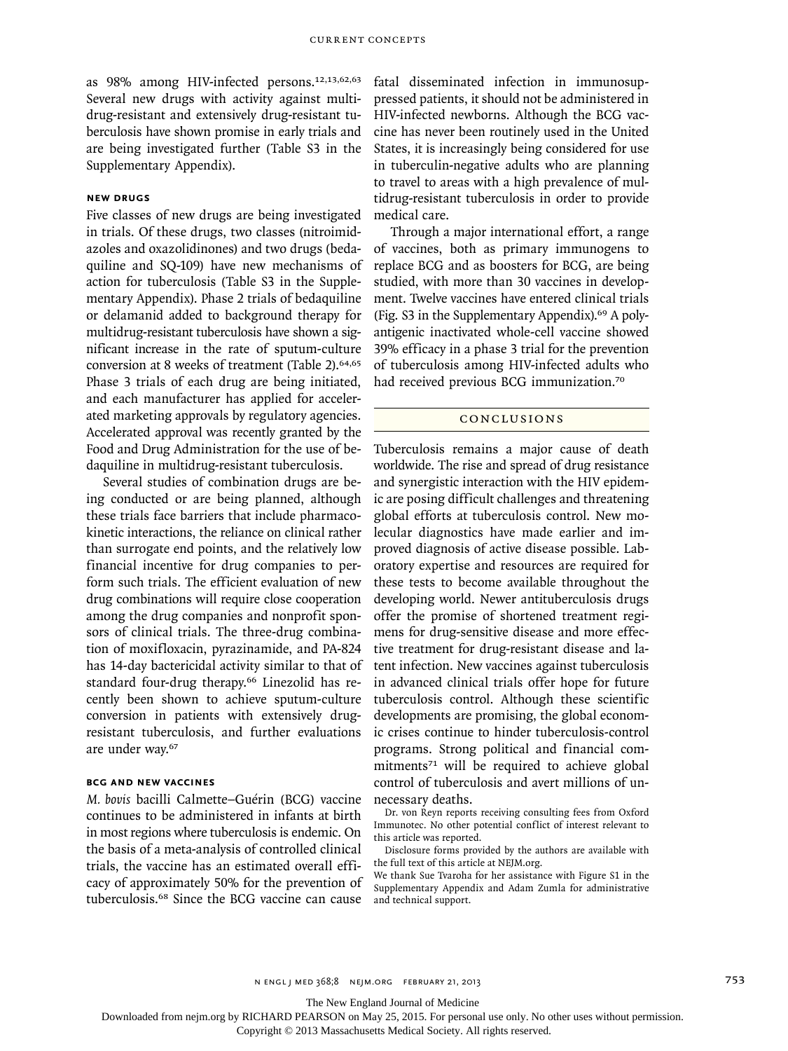as 98% among HIV-infected persons.12,13,62,63 Several new drugs with activity against multidrug-resistant and extensively drug-resistant tuberculosis have shown promise in early trials and are being investigated further (Table S3 in the Supplementary Appendix).

# **New Drugs**

Five classes of new drugs are being investigated in trials. Of these drugs, two classes (nitroimidazoles and oxazolidinones) and two drugs (bedaquiline and SQ-109) have new mechanisms of action for tuberculosis (Table S3 in the Supplementary Appendix). Phase 2 trials of bedaquiline or delamanid added to background therapy for multidrug-resistant tuberculosis have shown a significant increase in the rate of sputum-culture conversion at 8 weeks of treatment (Table 2).<sup>64,65</sup> Phase 3 trials of each drug are being initiated, and each manufacturer has applied for accelerated marketing approvals by regulatory agencies. Accelerated approval was recently granted by the Food and Drug Administration for the use of bedaquiline in multidrug-resistant tuberculosis.

Several studies of combination drugs are being conducted or are being planned, although these trials face barriers that include pharmacokinetic interactions, the reliance on clinical rather than surrogate end points, and the relatively low financial incentive for drug companies to perform such trials. The efficient evaluation of new drug combinations will require close cooperation among the drug companies and nonprofit sponsors of clinical trials. The three-drug combination of moxifloxacin, pyrazinamide, and PA-824 has 14-day bactericidal activity similar to that of standard four-drug therapy.<sup>66</sup> Linezolid has recently been shown to achieve sputum-culture conversion in patients with extensively drugresistant tuberculosis, and further evaluations are under way.<sup>67</sup>

#### **BCG and New Vaccines**

*M. bovis* bacilli Calmette–Guérin (BCG) vaccine continues to be administered in infants at birth in most regions where tuberculosis is endemic. On the basis of a meta-analysis of controlled clinical trials, the vaccine has an estimated overall efficacy of approximately 50% for the prevention of tuberculosis.68 Since the BCG vaccine can cause

fatal disseminated infection in immunosuppressed patients, it should not be administered in HIV-infected newborns. Although the BCG vaccine has never been routinely used in the United States, it is increasingly being considered for use in tuberculin-negative adults who are planning to travel to areas with a high prevalence of multidrug-resistant tuberculosis in order to provide medical care.

Through a major international effort, a range of vaccines, both as primary immunogens to replace BCG and as boosters for BCG, are being studied, with more than 30 vaccines in development. Twelve vaccines have entered clinical trials (Fig. S3 in the Supplementary Appendix).69 A polyantigenic inactivated whole-cell vaccine showed 39% efficacy in a phase 3 trial for the prevention of tuberculosis among HIV-infected adults who had received previous BCG immunization.<sup>70</sup>

## Conclusions

Tuberculosis remains a major cause of death worldwide. The rise and spread of drug resistance and synergistic interaction with the HIV epidemic are posing difficult challenges and threatening global efforts at tuberculosis control. New molecular diagnostics have made earlier and improved diagnosis of active disease possible. Laboratory expertise and resources are required for these tests to become available throughout the developing world. Newer antituberculosis drugs offer the promise of shortened treatment regimens for drug-sensitive disease and more effective treatment for drug-resistant disease and latent infection. New vaccines against tuberculosis in advanced clinical trials offer hope for future tuberculosis control. Although these scientific developments are promising, the global economic crises continue to hinder tuberculosis-control programs. Strong political and financial commitments<sup>71</sup> will be required to achieve global control of tuberculosis and avert millions of unnecessary deaths.

Dr. von Reyn reports receiving consulting fees from Oxford Immunotec. No other potential conflict of interest relevant to this article was reported.

Disclosure forms provided by the authors are available with the full text of this article at NEJM.org.

We thank Sue Tvaroha for her assistance with Figure S1 in the Supplementary Appendix and Adam Zumla for administrative and technical support.

The New England Journal of Medicine

Downloaded from nejm.org by RICHARD PEARSON on May 25, 2015. For personal use only. No other uses without permission.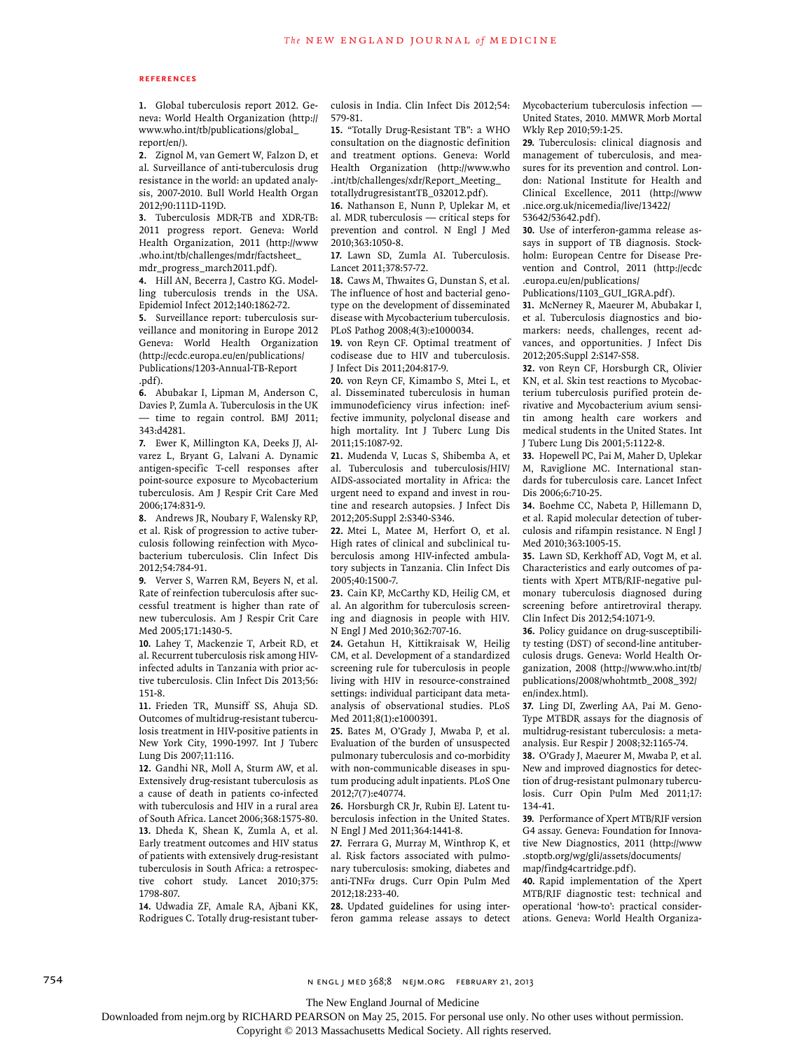#### **References**

**1.** Global tuberculosis report 2012. Geneva: World Health Organization (http:// www.who.int/tb/publications/global\_ report/en/).

**2.** Zignol M, van Gemert W, Falzon D, et al. Surveillance of anti-tuberculosis drug resistance in the world: an updated analysis, 2007-2010. Bull World Health Organ 2012;90:111D-119D.

**3.** Tuberculosis MDR-TB and XDR-TB: 2011 progress report. Geneva: World Health Organization, 2011 (http://www .who.int/tb/challenges/mdr/factsheet\_ mdr\_progress\_march2011.pdf).

**4.** Hill AN, Becerra J, Castro KG. Modelling tuberculosis trends in the USA. Epidemiol Infect 2012;140:1862-72.

**5.** Surveillance report: tuberculosis surveillance and monitoring in Europe 2012 Geneva: World Health Organization (http://ecdc.europa.eu/en/publications/ Publications/1203-Annual-TB-Report .pdf).

**6.** Abubakar I, Lipman M, Anderson C, Davies P, Zumla A. Tuberculosis in the UK — time to regain control. BMJ 2011; 343:d4281.

**7.** Ewer K, Millington KA, Deeks JJ, Alvarez L, Bryant G, Lalvani A. Dynamic antigen-specific T-cell responses after point-source exposure to Mycobacterium tuberculosis. Am J Respir Crit Care Med 2006;174:831-9.

**8.** Andrews JR, Noubary F, Walensky RP, et al. Risk of progression to active tuberculosis following reinfection with Mycobacterium tuberculosis. Clin Infect Dis 2012;54:784-91.

**9.** Verver S, Warren RM, Beyers N, et al. Rate of reinfection tuberculosis after successful treatment is higher than rate of new tuberculosis. Am J Respir Crit Care Med 2005;171:1430-5.

**10.** Lahey T, Mackenzie T, Arbeit RD, et al. Recurrent tuberculosis risk among HIVinfected adults in Tanzania with prior active tuberculosis. Clin Infect Dis 2013;56: 151-8.

**11.** Frieden TR, Munsiff SS, Ahuja SD. Outcomes of multidrug-resistant tuberculosis treatment in HIV-positive patients in New York City, 1990-1997. Int J Tuberc Lung Dis 2007;11:116.

**12.** Gandhi NR, Moll A, Sturm AW, et al. Extensively drug-resistant tuberculosis as a cause of death in patients co-infected with tuberculosis and HIV in a rural area of South Africa. Lancet 2006;368:1575-80. **13.** Dheda K, Shean K, Zumla A, et al. Early treatment outcomes and HIV status of patients with extensively drug-resistant tuberculosis in South Africa: a retrospective cohort study. Lancet 2010;375: 1798-807.

**14.** Udwadia ZF, Amale RA, Ajbani KK, Rodrigues C. Totally drug-resistant tuberculosis in India. Clin Infect Dis 2012;54: 579-81.

**15.** "Totally Drug-Resistant TB": a WHO consultation on the diagnostic definition and treatment options. Geneva: World Health Organization (http://www.who .int/tb/challenges/xdr/Report\_Meeting\_ totallydrugresistantTB\_032012.pdf).

**16.** Nathanson E, Nunn P, Uplekar M, et al. MDR tuberculosis — critical steps for prevention and control. N Engl J Med 2010;363:1050-8.

**17.** Lawn SD, Zumla AI. Tuberculosis. Lancet 2011;378:57-72.

**18.** Caws M, Thwaites G, Dunstan S, et al. The influence of host and bacterial genotype on the development of disseminated disease with Mycobacterium tuberculosis. PLoS Pathog 2008;4(3):e1000034.

**19.** von Reyn CF. Optimal treatment of codisease due to HIV and tuberculosis. J Infect Dis 2011;204:817-9.

**20.** von Reyn CF, Kimambo S, Mtei L, et al. Disseminated tuberculosis in human immunodeficiency virus infection: ineffective immunity, polyclonal disease and high mortality. Int J Tuberc Lung Dis 2011;15:1087-92.

**21.** Mudenda V, Lucas S, Shibemba A, et al. Tuberculosis and tuberculosis/HIV/ AIDS-associated mortality in Africa: the urgent need to expand and invest in routine and research autopsies. J Infect Dis 2012;205:Suppl 2:S340-S346.

**22.** Mtei L, Matee M, Herfort O, et al. High rates of clinical and subclinical tuberculosis among HIV-infected ambulatory subjects in Tanzania. Clin Infect Dis 2005;40:1500-7.

**23.** Cain KP, McCarthy KD, Heilig CM, et al. An algorithm for tuberculosis screening and diagnosis in people with HIV. N Engl J Med 2010;362:707-16.

**24.** Getahun H, Kittikraisak W, Heilig CM, et al. Development of a standardized screening rule for tuberculosis in people living with HIV in resource-constrained settings: individual participant data metaanalysis of observational studies. PLoS Med 2011;8(1):e1000391.

**25.** Bates M, O'Grady J, Mwaba P, et al. Evaluation of the burden of unsuspected pulmonary tuberculosis and co-morbidity with non-communicable diseases in sputum producing adult inpatients. PLoS One 2012;7(7):e40774.

**26.** Horsburgh CR Jr, Rubin EJ. Latent tuberculosis infection in the United States. N Engl J Med 2011;364:1441-8.

**27.** Ferrara G, Murray M, Winthrop K, et al. Risk factors associated with pulmonary tuberculosis: smoking, diabetes and anti-TNFα drugs. Curr Opin Pulm Med 2012;18:233-40.

**28.** Updated guidelines for using interferon gamma release assays to detect Mycobacterium tuberculosis infection — United States, 2010. MMWR Morb Mortal Wkly Rep 2010;59:1-25.

**29.** Tuberculosis: clinical diagnosis and management of tuberculosis, and measures for its prevention and control. London: National Institute for Health and Clinical Excellence, 2011 (http://www .nice.org.uk/nicemedia/live/13422/ 53642/53642.pdf).

**30.** Use of interferon-gamma release assays in support of TB diagnosis. Stockholm: European Centre for Disease Prevention and Control, 2011 (http://ecdc .europa.eu/en/publications/

Publications/1103\_GUI\_IGRA.pdf).

**31.** McNerney R, Maeurer M, Abubakar I, et al. Tuberculosis diagnostics and biomarkers: needs, challenges, recent advances, and opportunities. J Infect Dis 2012;205:Suppl 2:S147-S58.

**32.** von Reyn CF, Horsburgh CR, Olivier KN, et al. Skin test reactions to Mycobacterium tuberculosis purified protein derivative and Mycobacterium avium sensitin among health care workers and medical students in the United States. Int J Tuberc Lung Dis 2001;5:1122-8.

**33.** Hopewell PC, Pai M, Maher D, Uplekar M, Raviglione MC. International standards for tuberculosis care. Lancet Infect Dis 2006;6:710-25.

**34.** Boehme CC, Nabeta P, Hillemann D, et al. Rapid molecular detection of tuberculosis and rifampin resistance. N Engl J Med 2010;363:1005-15.

**35.** Lawn SD, Kerkhoff AD, Vogt M, et al. Characteristics and early outcomes of patients with Xpert MTB/RIF-negative pulmonary tuberculosis diagnosed during screening before antiretroviral therapy. Clin Infect Dis 2012;54:1071-9.

**36.** Policy guidance on drug-susceptibility testing (DST) of second-line antituberculosis drugs. Geneva: World Health Organization, 2008 (http://www.who.int/tb/ publications/2008/whohtmtb\_2008\_392/ en/index.html).

**37.** Ling DI, Zwerling AA, Pai M. Geno-Type MTBDR assays for the diagnosis of multidrug-resistant tuberculosis: a metaanalysis. Eur Respir J 2008;32:1165-74.

**38.** O'Grady J, Maeurer M, Mwaba P, et al. New and improved diagnostics for detection of drug-resistant pulmonary tuberculosis. Curr Opin Pulm Med 2011;17: 134-41.

**39.** Performance of Xpert MTB/RIF version G4 assay. Geneva: Foundation for Innovative New Diagnostics, 2011 (http://www .stoptb.org/wg/gli/assets/documents/ map/findg4cartridge.pdf).

**40.** Rapid implementation of the Xpert MTB/RIF diagnostic test: technical and operational 'how-to': practical considerations. Geneva: World Health Organiza-

754 n engl j med 368;8 nejm.org february 21, 2013

The New England Journal of Medicine

Downloaded from nejm.org by RICHARD PEARSON on May 25, 2015. For personal use only. No other uses without permission.